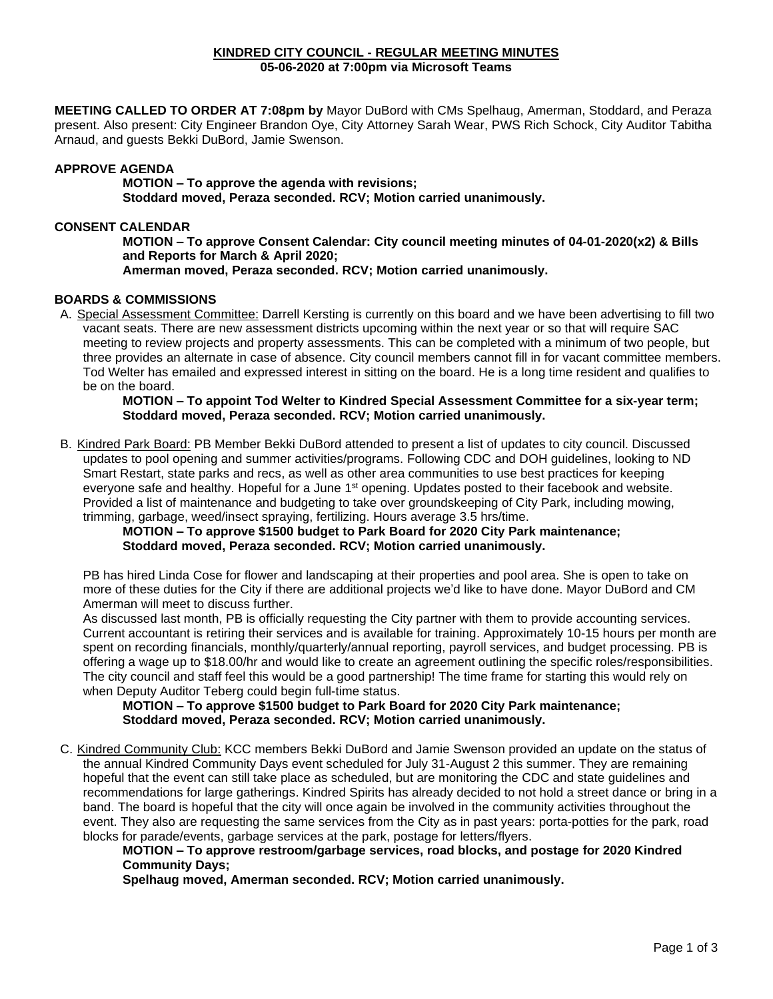#### **KINDRED CITY COUNCIL - REGULAR MEETING MINUTES 05-06-2020 at 7:00pm via Microsoft Teams**

**MEETING CALLED TO ORDER AT 7:08pm by** Mayor DuBord with CMs Spelhaug, Amerman, Stoddard, and Peraza present. Also present: City Engineer Brandon Oye, City Attorney Sarah Wear, PWS Rich Schock, City Auditor Tabitha Arnaud, and guests Bekki DuBord, Jamie Swenson.

## **APPROVE AGENDA**

**MOTION – To approve the agenda with revisions; Stoddard moved, Peraza seconded. RCV; Motion carried unanimously.** 

#### **CONSENT CALENDAR**

**MOTION – To approve Consent Calendar: City council meeting minutes of 04-01-2020(x2) & Bills and Reports for March & April 2020; Amerman moved, Peraza seconded. RCV; Motion carried unanimously.**

## **BOARDS & COMMISSIONS**

A. Special Assessment Committee: Darrell Kersting is currently on this board and we have been advertising to fill two vacant seats. There are new assessment districts upcoming within the next year or so that will require SAC meeting to review projects and property assessments. This can be completed with a minimum of two people, but three provides an alternate in case of absence. City council members cannot fill in for vacant committee members. Tod Welter has emailed and expressed interest in sitting on the board. He is a long time resident and qualifies to be on the board.

#### **MOTION – To appoint Tod Welter to Kindred Special Assessment Committee for a six-year term; Stoddard moved, Peraza seconded. RCV; Motion carried unanimously.**

B. Kindred Park Board: PB Member Bekki DuBord attended to present a list of updates to city council. Discussed updates to pool opening and summer activities/programs. Following CDC and DOH guidelines, looking to ND Smart Restart, state parks and recs, as well as other area communities to use best practices for keeping everyone safe and healthy. Hopeful for a June 1<sup>st</sup> opening. Updates posted to their facebook and website. Provided a list of maintenance and budgeting to take over groundskeeping of City Park, including mowing, trimming, garbage, weed/insect spraying, fertilizing. Hours average 3.5 hrs/time.

## **MOTION – To approve \$1500 budget to Park Board for 2020 City Park maintenance; Stoddard moved, Peraza seconded. RCV; Motion carried unanimously.**

PB has hired Linda Cose for flower and landscaping at their properties and pool area. She is open to take on more of these duties for the City if there are additional projects we'd like to have done. Mayor DuBord and CM Amerman will meet to discuss further.

As discussed last month, PB is officially requesting the City partner with them to provide accounting services. Current accountant is retiring their services and is available for training. Approximately 10-15 hours per month are spent on recording financials, monthly/quarterly/annual reporting, payroll services, and budget processing. PB is offering a wage up to \$18.00/hr and would like to create an agreement outlining the specific roles/responsibilities. The city council and staff feel this would be a good partnership! The time frame for starting this would rely on when Deputy Auditor Teberg could begin full-time status.

## **MOTION – To approve \$1500 budget to Park Board for 2020 City Park maintenance; Stoddard moved, Peraza seconded. RCV; Motion carried unanimously.**

C. Kindred Community Club: KCC members Bekki DuBord and Jamie Swenson provided an update on the status of the annual Kindred Community Days event scheduled for July 31-August 2 this summer. They are remaining hopeful that the event can still take place as scheduled, but are monitoring the CDC and state guidelines and recommendations for large gatherings. Kindred Spirits has already decided to not hold a street dance or bring in a band. The board is hopeful that the city will once again be involved in the community activities throughout the event. They also are requesting the same services from the City as in past years: porta-potties for the park, road blocks for parade/events, garbage services at the park, postage for letters/flyers.

## **MOTION – To approve restroom/garbage services, road blocks, and postage for 2020 Kindred Community Days;**

**Spelhaug moved, Amerman seconded. RCV; Motion carried unanimously.**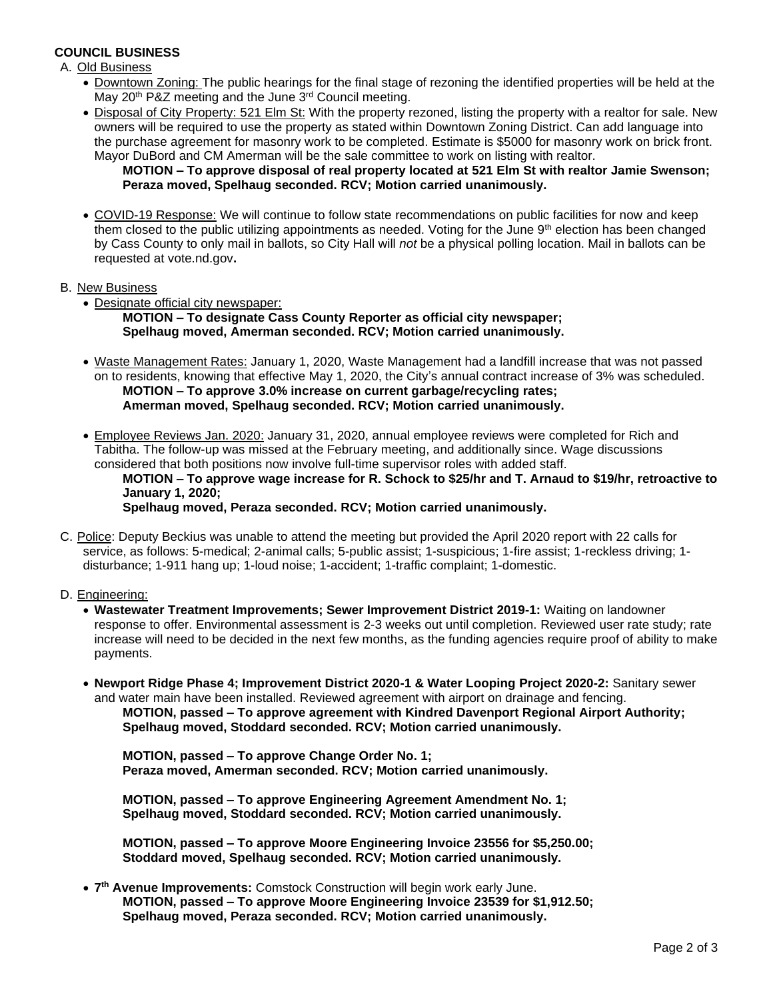## **COUNCIL BUSINESS**

A. Old Business

- Downtown Zoning: The public hearings for the final stage of rezoning the identified properties will be held at the May 20<sup>th</sup> P&Z meeting and the June 3<sup>rd</sup> Council meeting.
- Disposal of City Property: 521 Elm St: With the property rezoned, listing the property with a realtor for sale. New owners will be required to use the property as stated within Downtown Zoning District. Can add language into the purchase agreement for masonry work to be completed. Estimate is \$5000 for masonry work on brick front. Mayor DuBord and CM Amerman will be the sale committee to work on listing with realtor.

## **MOTION – To approve disposal of real property located at 521 Elm St with realtor Jamie Swenson; Peraza moved, Spelhaug seconded. RCV; Motion carried unanimously.**

• COVID-19 Response: We will continue to follow state recommendations on public facilities for now and keep them closed to the public utilizing appointments as needed. Voting for the June 9<sup>th</sup> election has been changed by Cass County to only mail in ballots, so City Hall will *not* be a physical polling location. Mail in ballots can be requested at vote.nd.gov**.**

#### B. New Business

• Designate official city newspaper:

**MOTION – To designate Cass County Reporter as official city newspaper; Spelhaug moved, Amerman seconded. RCV; Motion carried unanimously.**

- Waste Management Rates: January 1, 2020, Waste Management had a landfill increase that was not passed on to residents, knowing that effective May 1, 2020, the City's annual contract increase of 3% was scheduled. **MOTION – To approve 3.0% increase on current garbage/recycling rates; Amerman moved, Spelhaug seconded. RCV; Motion carried unanimously.**
- Employee Reviews Jan. 2020: January 31, 2020, annual employee reviews were completed for Rich and Tabitha. The follow-up was missed at the February meeting, and additionally since. Wage discussions considered that both positions now involve full-time supervisor roles with added staff.

**MOTION – To approve wage increase for R. Schock to \$25/hr and T. Arnaud to \$19/hr, retroactive to January 1, 2020;**

**Spelhaug moved, Peraza seconded. RCV; Motion carried unanimously.**

C. Police: Deputy Beckius was unable to attend the meeting but provided the April 2020 report with 22 calls for service, as follows: 5-medical; 2-animal calls; 5-public assist; 1-suspicious; 1-fire assist; 1-reckless driving; 1 disturbance; 1-911 hang up; 1-loud noise; 1-accident; 1-traffic complaint; 1-domestic.

#### D. Engineering:

- **Wastewater Treatment Improvements; Sewer Improvement District 2019-1:** Waiting on landowner response to offer. Environmental assessment is 2-3 weeks out until completion. Reviewed user rate study; rate increase will need to be decided in the next few months, as the funding agencies require proof of ability to make payments.
- **Newport Ridge Phase 4; Improvement District 2020-1 & Water Looping Project 2020-2:** Sanitary sewer and water main have been installed. Reviewed agreement with airport on drainage and fencing. **MOTION, passed – To approve agreement with Kindred Davenport Regional Airport Authority; Spelhaug moved, Stoddard seconded. RCV; Motion carried unanimously.**

**MOTION, passed – To approve Change Order No. 1; Peraza moved, Amerman seconded. RCV; Motion carried unanimously.**

**MOTION, passed – To approve Engineering Agreement Amendment No. 1; Spelhaug moved, Stoddard seconded. RCV; Motion carried unanimously.**

**MOTION, passed – To approve Moore Engineering Invoice 23556 for \$5,250.00; Stoddard moved, Spelhaug seconded. RCV; Motion carried unanimously.**

• **7 th Avenue Improvements:** Comstock Construction will begin work early June. **MOTION, passed – To approve Moore Engineering Invoice 23539 for \$1,912.50; Spelhaug moved, Peraza seconded. RCV; Motion carried unanimously.**